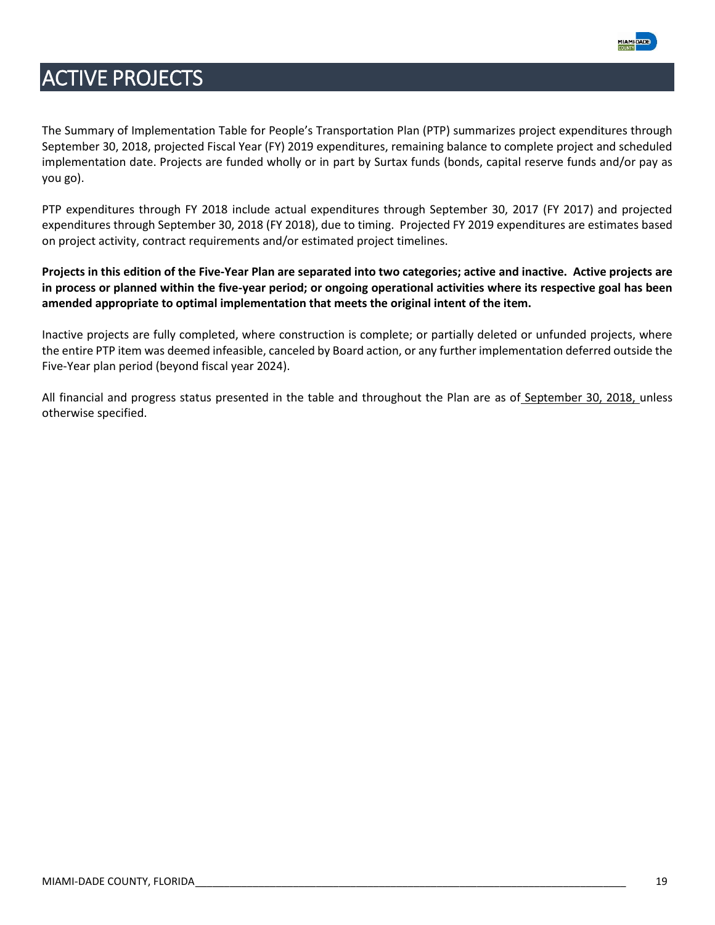

The Summary of Implementation Table for People's Transportation Plan (PTP) summarizes project expenditures through September 30, 2018, projected Fiscal Year (FY) 2019 expenditures, remaining balance to complete project and scheduled implementation date. Projects are funded wholly or in part by Surtax funds (bonds, capital reserve funds and/or pay as you go).

PTP expenditures through FY 2018 include actual expenditures through September 30, 2017 (FY 2017) and projected expenditures through September 30, 2018 (FY 2018), due to timing. Projected FY 2019 expenditures are estimates based on project activity, contract requirements and/or estimated project timelines.

**Projects in this edition of the Five-Year Plan are separated into two categories; active and inactive. Active projects are in process or planned within the five-year period; or ongoing operational activities where its respective goal has been amended appropriate to optimal implementation that meets the original intent of the item.** 

Inactive projects are fully completed, where construction is complete; or partially deleted or unfunded projects, where the entire PTP item was deemed infeasible, canceled by Board action, or any further implementation deferred outside the Five-Year plan period (beyond fiscal year 2024).

All financial and progress status presented in the table and throughout the Plan are as of September 30, 2018, unless otherwise specified.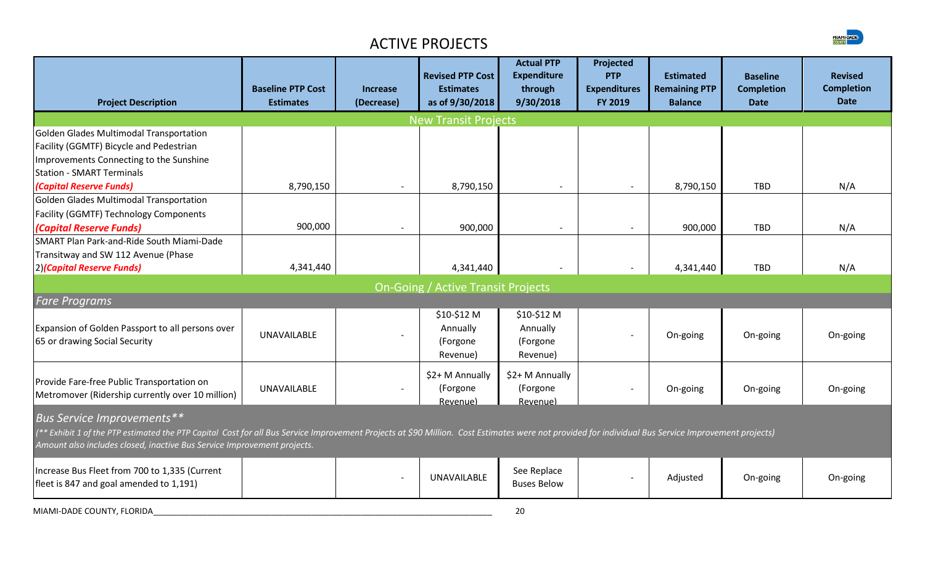

|                                                                                                                                                                                                     | <b>Baseline PTP Cost</b> | <b>Increase</b>          | <b>Revised PTP Cost</b><br><b>Estimates</b> | <b>Actual PTP</b><br><b>Expenditure</b><br>through | Projected<br><b>PTP</b><br><b>Expenditures</b> | <b>Estimated</b><br><b>Remaining PTP</b> | <b>Baseline</b><br><b>Completion</b> | <b>Revised</b><br><b>Completion</b> |
|-----------------------------------------------------------------------------------------------------------------------------------------------------------------------------------------------------|--------------------------|--------------------------|---------------------------------------------|----------------------------------------------------|------------------------------------------------|------------------------------------------|--------------------------------------|-------------------------------------|
| <b>Project Description</b>                                                                                                                                                                          | <b>Estimates</b>         | (Decrease)               | as of 9/30/2018                             | 9/30/2018                                          | FY 2019                                        | <b>Balance</b>                           | <b>Date</b>                          | <b>Date</b>                         |
|                                                                                                                                                                                                     |                          |                          | <b>New Transit Projects</b>                 |                                                    |                                                |                                          |                                      |                                     |
| Golden Glades Multimodal Transportation                                                                                                                                                             |                          |                          |                                             |                                                    |                                                |                                          |                                      |                                     |
| Facility (GGMTF) Bicycle and Pedestrian                                                                                                                                                             |                          |                          |                                             |                                                    |                                                |                                          |                                      |                                     |
| Improvements Connecting to the Sunshine                                                                                                                                                             |                          |                          |                                             |                                                    |                                                |                                          |                                      |                                     |
| <b>Station - SMART Terminals</b>                                                                                                                                                                    |                          |                          |                                             |                                                    |                                                |                                          |                                      |                                     |
| (Capital Reserve Funds)                                                                                                                                                                             | 8,790,150                |                          | 8,790,150                                   |                                                    |                                                | 8,790,150                                | TBD                                  | N/A                                 |
| Golden Glades Multimodal Transportation                                                                                                                                                             |                          |                          |                                             |                                                    |                                                |                                          |                                      |                                     |
| <b>Facility (GGMTF) Technology Components</b>                                                                                                                                                       |                          |                          |                                             |                                                    |                                                |                                          |                                      |                                     |
| (Capital Reserve Funds)                                                                                                                                                                             | 900,000                  | $\overline{\phantom{a}}$ | 900,000                                     | $\overline{\phantom{a}}$                           | $\overline{\phantom{a}}$                       | 900,000                                  | <b>TBD</b>                           | N/A                                 |
| SMART Plan Park-and-Ride South Miami-Dade                                                                                                                                                           |                          |                          |                                             |                                                    |                                                |                                          |                                      |                                     |
| Transitway and SW 112 Avenue (Phase                                                                                                                                                                 |                          |                          |                                             |                                                    |                                                |                                          |                                      |                                     |
| 2) (Capital Reserve Funds)                                                                                                                                                                          | 4,341,440                |                          | 4,341,440                                   |                                                    |                                                | 4,341,440                                | <b>TBD</b>                           | N/A                                 |
|                                                                                                                                                                                                     |                          |                          | <b>On-Going / Active Transit Projects</b>   |                                                    |                                                |                                          |                                      |                                     |
| <b>Fare Programs</b>                                                                                                                                                                                |                          |                          |                                             |                                                    |                                                |                                          |                                      |                                     |
|                                                                                                                                                                                                     |                          |                          | \$10-\$12 M                                 | \$10-\$12 M                                        |                                                |                                          |                                      |                                     |
| Expansion of Golden Passport to all persons over                                                                                                                                                    | <b>UNAVAILABLE</b>       |                          | Annually                                    | Annually                                           |                                                |                                          |                                      |                                     |
| 65 or drawing Social Security                                                                                                                                                                       |                          |                          | (Forgone                                    | (Forgone                                           |                                                | On-going                                 |                                      | On-going                            |
|                                                                                                                                                                                                     |                          |                          | Revenue)                                    | Revenue)                                           |                                                |                                          | On-going<br>On-going                 |                                     |
|                                                                                                                                                                                                     |                          |                          | \$2+ M Annually                             | \$2+ M Annually                                    |                                                |                                          |                                      |                                     |
| Provide Fare-free Public Transportation on                                                                                                                                                          | <b>UNAVAILABLE</b>       | $\overline{\phantom{a}}$ | (Forgone                                    | (Forgone                                           | $\overline{\phantom{a}}$                       | On-going                                 |                                      | On-going                            |
| Metromover (Ridership currently over 10 million)                                                                                                                                                    |                          |                          | Revenue)                                    | Revenue)                                           |                                                |                                          |                                      |                                     |
| <b>Bus Service Improvements**</b>                                                                                                                                                                   |                          |                          |                                             |                                                    |                                                |                                          |                                      |                                     |
| (** Exhibit 1 of the PTP estimated the PTP Capital Cost for all Bus Service Improvement Projects at \$90 Million. Cost Estimates were not provided for individual Bus Service Improvement projects) |                          |                          |                                             |                                                    |                                                |                                          |                                      |                                     |
| Amount also includes closed, inactive Bus Service Improvement projects.                                                                                                                             |                          |                          |                                             |                                                    |                                                |                                          |                                      |                                     |
| Increase Bus Fleet from 700 to 1,335 (Current                                                                                                                                                       |                          |                          |                                             | See Replace                                        |                                                |                                          |                                      |                                     |
| fleet is 847 and goal amended to 1,191)                                                                                                                                                             |                          |                          | UNAVAILABLE                                 | <b>Buses Below</b>                                 | $\overline{\phantom{a}}$                       | Adjusted                                 | On-going                             | On-going                            |
| MIAMI-DADE COUNTY, FLORIDA                                                                                                                                                                          |                          |                          |                                             | 20                                                 |                                                |                                          |                                      |                                     |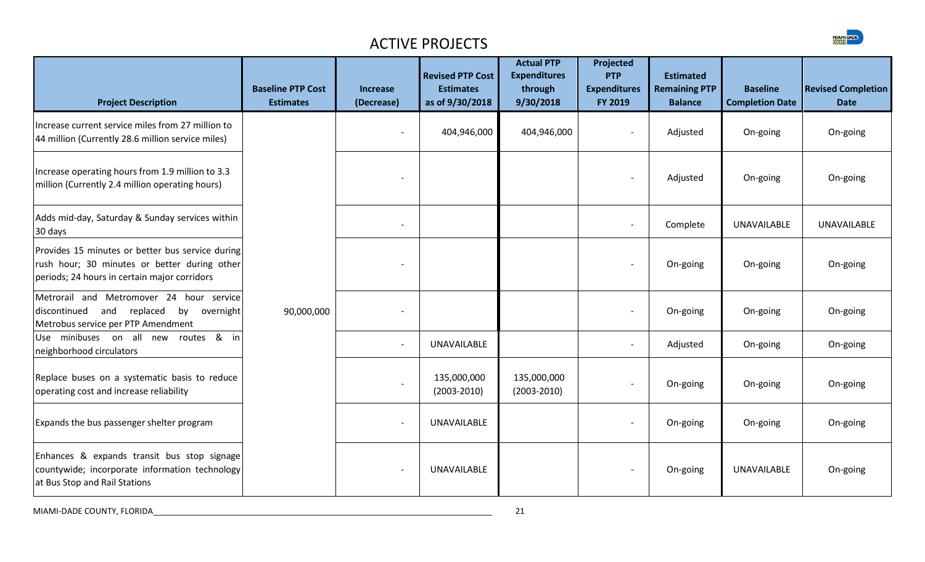| <b>Project Description</b>                                                                                                                       | <b>Baseline PTP Cost</b><br><b>Estimates</b> | <b>Increase</b><br>(Decrease) | <b>Revised PTP Cost</b><br><b>Estimates</b><br>as of 9/30/2018 | <b>Actual PTP</b><br><b>Expenditures</b><br>through<br>9/30/2018 | Projected<br><b>PTP</b><br><b>Expenditures</b><br>FY 2019 | <b>Estimated</b><br><b>Remaining PTP</b><br><b>Balance</b> | <b>Baseline</b><br><b>Completion Date</b> | <b>Revised Completion</b><br><b>Date</b> |
|--------------------------------------------------------------------------------------------------------------------------------------------------|----------------------------------------------|-------------------------------|----------------------------------------------------------------|------------------------------------------------------------------|-----------------------------------------------------------|------------------------------------------------------------|-------------------------------------------|------------------------------------------|
| Increase current service miles from 27 million to<br>44 million (Currently 28.6 million service miles)                                           |                                              | $\overline{\phantom{a}}$      | 404,946,000                                                    | 404,946,000                                                      | $\overline{\phantom{a}}$                                  | Adjusted                                                   | On-going                                  | On-going                                 |
| Increase operating hours from 1.9 million to 3.3<br>million (Currently 2.4 million operating hours)                                              |                                              |                               |                                                                |                                                                  | $\overline{\phantom{a}}$                                  | Adjusted                                                   | On-going                                  | On-going                                 |
| Adds mid-day, Saturday & Sunday services within<br>30 days                                                                                       |                                              | $\overline{\phantom{a}}$      |                                                                |                                                                  | $\overline{\phantom{a}}$                                  | Complete                                                   | <b>UNAVAILABLE</b>                        | <b>UNAVAILABLE</b>                       |
| Provides 15 minutes or better bus service during<br>rush hour; 30 minutes or better during other<br>periods; 24 hours in certain major corridors |                                              |                               |                                                                |                                                                  | $\overline{\phantom{a}}$                                  | On-going                                                   | On-going                                  | On-going                                 |
| Metrorail and Metromover 24 hour service<br>discontinued and replaced<br>by<br>overnight<br>Metrobus service per PTP Amendment                   | 90,000,000                                   |                               |                                                                |                                                                  | $\overline{\phantom{a}}$                                  | On-going                                                   | On-going                                  | On-going                                 |
| routes & in<br>Use minibuses on all new<br>neighborhood circulators                                                                              |                                              | $\overline{\phantom{a}}$      | <b>UNAVAILABLE</b>                                             |                                                                  | $\overline{\phantom{0}}$                                  | Adjusted                                                   | On-going                                  | On-going                                 |
| Replace buses on a systematic basis to reduce<br>operating cost and increase reliability                                                         |                                              | $\blacksquare$                | 135,000,000<br>$(2003 - 2010)$                                 | 135,000,000<br>$(2003 - 2010)$                                   | $\overline{\phantom{0}}$                                  | On-going                                                   | On-going                                  | On-going                                 |
| Expands the bus passenger shelter program                                                                                                        |                                              | $\overline{a}$                | UNAVAILABLE                                                    |                                                                  | $\overline{\phantom{0}}$                                  | On-going                                                   | On-going                                  | On-going                                 |
| Enhances & expands transit bus stop signage<br>countywide; incorporate information technology<br>at Bus Stop and Rail Stations                   |                                              | $\overline{\phantom{a}}$      | <b>UNAVAILABLE</b>                                             |                                                                  | $\overline{\phantom{a}}$                                  | On-going                                                   | <b>UNAVAILABLE</b>                        | On-going                                 |

MIAMI-DADE COUNTY, FLORIDA\_\_\_\_\_\_\_\_\_\_\_\_\_\_\_\_\_\_\_\_\_\_\_\_\_\_\_\_\_\_\_\_\_\_\_\_\_\_\_\_\_\_\_\_\_\_\_\_\_\_\_\_\_\_\_\_\_\_\_\_\_\_\_\_\_\_\_\_\_\_\_\_\_\_\_ 21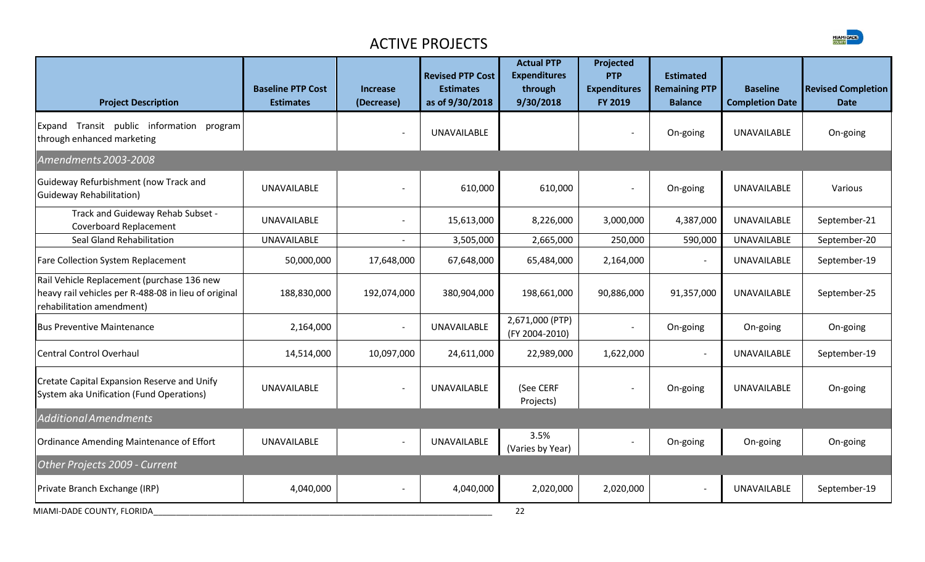| <b>Project Description</b>                                                                                                      | <b>Baseline PTP Cost</b><br><b>Estimates</b> | <b>Increase</b><br>(Decrease) | <b>Revised PTP Cost</b><br><b>Estimates</b><br>as of 9/30/2018 | <b>Actual PTP</b><br><b>Expenditures</b><br>through<br>9/30/2018 | Projected<br><b>PTP</b><br><b>Expenditures</b><br>FY 2019 | <b>Estimated</b><br><b>Remaining PTP</b><br><b>Balance</b> | <b>Baseline</b><br><b>Completion Date</b> | <b>Revised Completion</b><br><b>Date</b> |
|---------------------------------------------------------------------------------------------------------------------------------|----------------------------------------------|-------------------------------|----------------------------------------------------------------|------------------------------------------------------------------|-----------------------------------------------------------|------------------------------------------------------------|-------------------------------------------|------------------------------------------|
| Expand Transit public information<br>program<br>through enhanced marketing                                                      |                                              |                               | UNAVAILABLE                                                    |                                                                  |                                                           | On-going                                                   | UNAVAILABLE                               | On-going                                 |
| Amendments 2003-2008                                                                                                            |                                              |                               |                                                                |                                                                  |                                                           |                                                            |                                           |                                          |
| Guideway Refurbishment (now Track and<br>Guideway Rehabilitation)                                                               | <b>UNAVAILABLE</b>                           |                               | 610,000                                                        | 610,000                                                          | $\overline{\phantom{a}}$                                  | On-going                                                   | <b>UNAVAILABLE</b>                        | Various                                  |
| Track and Guideway Rehab Subset -<br>Coverboard Replacement                                                                     | <b>UNAVAILABLE</b>                           |                               | 15,613,000                                                     | 8,226,000                                                        | 3,000,000                                                 | 4,387,000                                                  | <b>UNAVAILABLE</b>                        | September-21                             |
| Seal Gland Rehabilitation                                                                                                       | <b>UNAVAILABLE</b>                           | $\overline{\phantom{a}}$      | 3,505,000                                                      | 2,665,000                                                        | 250,000                                                   | 590,000                                                    | <b>UNAVAILABLE</b>                        | September-20                             |
| Fare Collection System Replacement                                                                                              | 50,000,000                                   | 17,648,000                    | 67,648,000                                                     | 65,484,000                                                       | 2,164,000                                                 |                                                            | UNAVAILABLE                               | September-19                             |
| Rail Vehicle Replacement (purchase 136 new<br>heavy rail vehicles per R-488-08 in lieu of original<br>rehabilitation amendment) | 188,830,000                                  | 192,074,000                   | 380,904,000                                                    | 198,661,000                                                      | 90,886,000                                                | 91,357,000                                                 | <b>UNAVAILABLE</b>                        | September-25                             |
| <b>Bus Preventive Maintenance</b>                                                                                               | 2,164,000                                    | $\sim$                        | <b>UNAVAILABLE</b>                                             | 2,671,000 (PTP)<br>(FY 2004-2010)                                | $\overline{\phantom{a}}$                                  | On-going                                                   | On-going                                  | On-going                                 |
| <b>Central Control Overhaul</b>                                                                                                 | 14,514,000                                   | 10,097,000                    | 24,611,000                                                     | 22,989,000                                                       | 1,622,000                                                 |                                                            | <b>UNAVAILABLE</b>                        | September-19                             |
| Cretate Capital Expansion Reserve and Unify<br>System aka Unification (Fund Operations)                                         | <b>UNAVAILABLE</b>                           |                               | <b>UNAVAILABLE</b>                                             | (See CERF<br>Projects)                                           | $\overline{\phantom{a}}$                                  | On-going                                                   | <b>UNAVAILABLE</b>                        | On-going                                 |
| <b>Additional Amendments</b>                                                                                                    |                                              |                               |                                                                |                                                                  |                                                           |                                                            |                                           |                                          |
| Ordinance Amending Maintenance of Effort                                                                                        | <b>UNAVAILABLE</b>                           | $\overline{\phantom{a}}$      | UNAVAILABLE                                                    | 3.5%<br>(Varies by Year)                                         | $\overline{\phantom{a}}$                                  | On-going                                                   | On-going                                  | On-going                                 |
| Other Projects 2009 - Current                                                                                                   |                                              |                               |                                                                |                                                                  |                                                           |                                                            |                                           |                                          |
| Private Branch Exchange (IRP)                                                                                                   | 4,040,000                                    |                               | 4,040,000                                                      | 2,020,000                                                        | 2,020,000                                                 |                                                            | <b>UNAVAILABLE</b>                        | September-19                             |
| MIAMI-DADE COUNTY, FLORIDA                                                                                                      |                                              |                               |                                                                | 22                                                               |                                                           |                                                            |                                           |                                          |

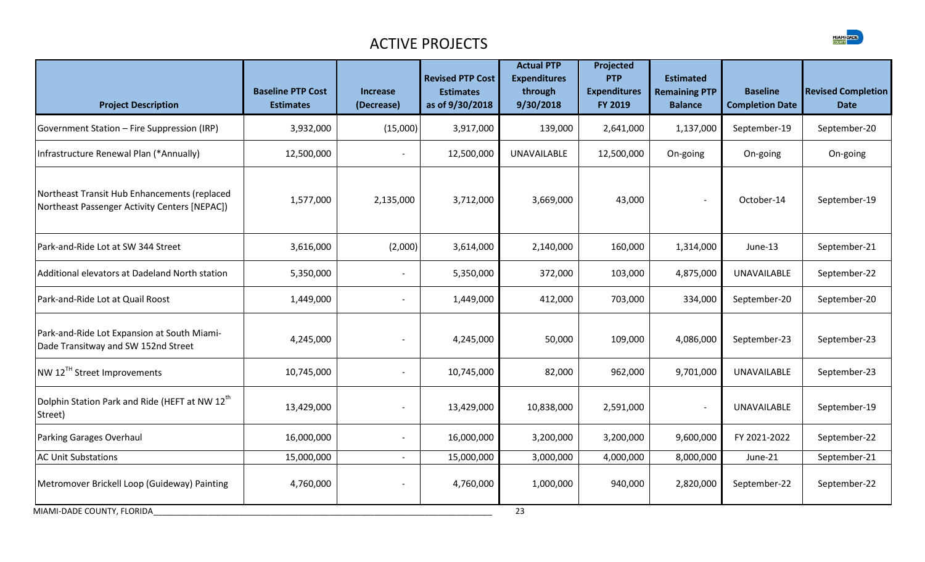

| <b>Project Description</b>                                                                    | <b>Baseline PTP Cost</b><br><b>Estimates</b> | Increase<br>(Decrease)   | <b>Revised PTP Cost</b><br><b>Estimates</b><br>as of 9/30/2018 | <b>Actual PTP</b><br><b>Expenditures</b><br>through<br>9/30/2018 | Projected<br><b>PTP</b><br><b>Expenditures</b><br>FY 2019 | <b>Estimated</b><br><b>Remaining PTP</b><br><b>Balance</b> | <b>Baseline</b><br><b>Completion Date</b> | <b>Revised Completion</b><br><b>Date</b> |
|-----------------------------------------------------------------------------------------------|----------------------------------------------|--------------------------|----------------------------------------------------------------|------------------------------------------------------------------|-----------------------------------------------------------|------------------------------------------------------------|-------------------------------------------|------------------------------------------|
| Government Station - Fire Suppression (IRP)                                                   | 3,932,000                                    | (15,000)                 | 3,917,000                                                      | 139,000                                                          | 2,641,000                                                 | 1,137,000                                                  | September-19                              | September-20                             |
| Infrastructure Renewal Plan (*Annually)                                                       | 12,500,000                                   |                          | 12,500,000                                                     | UNAVAILABLE                                                      | 12,500,000                                                | On-going                                                   | On-going                                  | On-going                                 |
| Northeast Transit Hub Enhancements (replaced<br>Northeast Passenger Activity Centers [NEPAC]) | 1,577,000                                    | 2,135,000                | 3,712,000                                                      | 3,669,000                                                        | 43,000                                                    | $\overline{\phantom{a}}$                                   | October-14                                | September-19                             |
| Park-and-Ride Lot at SW 344 Street                                                            | 3,616,000                                    | (2,000)                  | 3,614,000                                                      | 2,140,000                                                        | 160,000                                                   | 1,314,000                                                  | June-13                                   | September-21                             |
| Additional elevators at Dadeland North station                                                | 5,350,000                                    |                          | 5,350,000                                                      | 372,000                                                          | 103,000                                                   | 4,875,000                                                  | UNAVAILABLE                               | September-22                             |
| Park-and-Ride Lot at Quail Roost                                                              | 1,449,000                                    |                          | 1,449,000                                                      | 412,000                                                          | 703,000                                                   | 334,000                                                    | September-20                              | September-20                             |
| Park-and-Ride Lot Expansion at South Miami-<br>Dade Transitway and SW 152nd Street            | 4,245,000                                    |                          | 4,245,000                                                      | 50,000                                                           | 109,000                                                   | 4,086,000                                                  | September-23                              | September-23                             |
| NW 12TH Street Improvements                                                                   | 10,745,000                                   |                          | 10,745,000                                                     | 82,000                                                           | 962,000                                                   | 9,701,000                                                  | <b>UNAVAILABLE</b>                        | September-23                             |
| Dolphin Station Park and Ride (HEFT at NW 12 <sup>th</sup><br>Street)                         | 13,429,000                                   |                          | 13,429,000                                                     | 10,838,000                                                       | 2,591,000                                                 | $\qquad \qquad \blacksquare$                               | <b>UNAVAILABLE</b>                        | September-19                             |
| Parking Garages Overhaul                                                                      | 16,000,000                                   |                          | 16,000,000                                                     | 3,200,000                                                        | 3,200,000                                                 | 9,600,000                                                  | FY 2021-2022                              | September-22                             |
| <b>AC Unit Substations</b>                                                                    | 15,000,000                                   | $\overline{\phantom{a}}$ | 15,000,000                                                     | 3,000,000                                                        | 4,000,000                                                 | 8,000,000                                                  | June-21                                   | September-21                             |
| Metromover Brickell Loop (Guideway) Painting                                                  | 4,760,000                                    | $\overline{\phantom{a}}$ | 4,760,000                                                      | 1,000,000                                                        | 940,000                                                   | 2,820,000                                                  | September-22                              | September-22                             |
| MIAMI-DADE COUNTY, FLORIDA                                                                    |                                              |                          |                                                                | 23                                                               |                                                           |                                                            |                                           |                                          |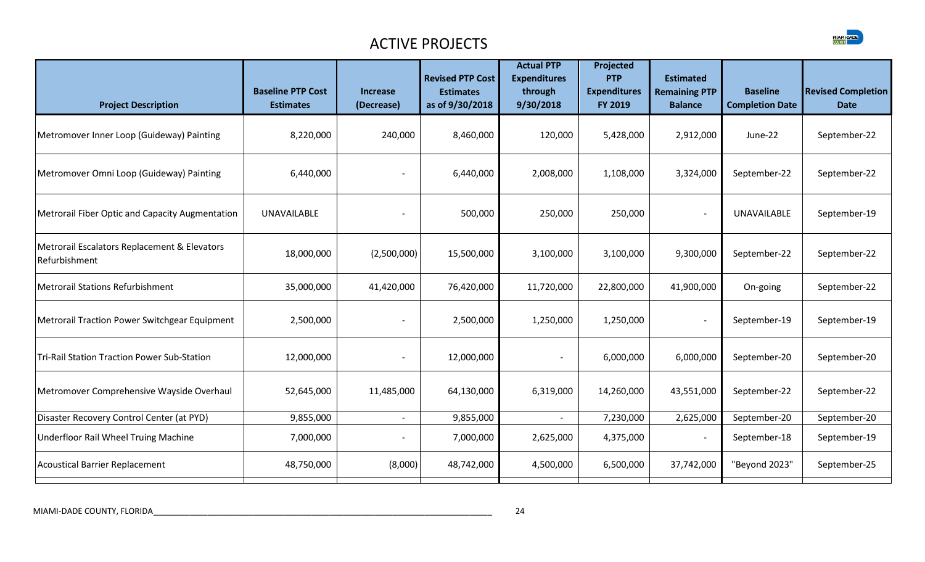

| <b>Project Description</b>                                    | <b>Baseline PTP Cost</b><br><b>Estimates</b> | <b>Increase</b><br>(Decrease) | <b>Revised PTP Cost</b><br><b>Estimates</b><br>as of 9/30/2018 | <b>Actual PTP</b><br><b>Expenditures</b><br>through<br>9/30/2018 | Projected<br><b>PTP</b><br><b>Expenditures</b><br>FY 2019 | <b>Estimated</b><br><b>Remaining PTP</b><br><b>Balance</b> | <b>Baseline</b><br><b>Completion Date</b> | <b>Revised Completion</b><br><b>Date</b> |
|---------------------------------------------------------------|----------------------------------------------|-------------------------------|----------------------------------------------------------------|------------------------------------------------------------------|-----------------------------------------------------------|------------------------------------------------------------|-------------------------------------------|------------------------------------------|
| Metromover Inner Loop (Guideway) Painting                     | 8,220,000                                    | 240,000                       | 8,460,000                                                      | 120,000                                                          | 5,428,000                                                 | 2,912,000                                                  | June-22                                   | September-22                             |
| Metromover Omni Loop (Guideway) Painting                      | 6,440,000                                    |                               | 6,440,000                                                      | 2,008,000                                                        | 1,108,000                                                 | 3,324,000                                                  | September-22                              | September-22                             |
| Metrorail Fiber Optic and Capacity Augmentation               | <b>UNAVAILABLE</b>                           |                               | 500,000                                                        | 250,000                                                          | 250,000                                                   | $\overline{\phantom{a}}$                                   | <b>UNAVAILABLE</b>                        | September-19                             |
| Metrorail Escalators Replacement & Elevators<br>Refurbishment | 18,000,000                                   | (2,500,000)                   | 15,500,000                                                     | 3,100,000                                                        | 3,100,000                                                 | 9,300,000                                                  | September-22                              | September-22                             |
| Metrorail Stations Refurbishment                              | 35,000,000                                   | 41,420,000                    | 76,420,000                                                     | 11,720,000                                                       | 22,800,000                                                | 41,900,000                                                 | On-going                                  | September-22                             |
| Metrorail Traction Power Switchgear Equipment                 | 2,500,000                                    |                               | 2,500,000                                                      | 1,250,000                                                        | 1,250,000                                                 | $\overline{\phantom{a}}$                                   | September-19                              | September-19                             |
| <b>Tri-Rail Station Traction Power Sub-Station</b>            | 12,000,000                                   | $\overline{\phantom{a}}$      | 12,000,000                                                     |                                                                  | 6,000,000                                                 | 6,000,000                                                  | September-20                              | September-20                             |
| Metromover Comprehensive Wayside Overhaul                     | 52,645,000                                   | 11,485,000                    | 64,130,000                                                     | 6,319,000                                                        | 14,260,000                                                | 43,551,000                                                 | September-22                              | September-22                             |
| Disaster Recovery Control Center (at PYD)                     | 9,855,000                                    |                               | 9,855,000                                                      |                                                                  | 7,230,000                                                 | 2,625,000                                                  | September-20                              | September-20                             |
| Underfloor Rail Wheel Truing Machine                          | 7,000,000                                    |                               | 7,000,000                                                      | 2,625,000                                                        | 4,375,000                                                 | $\overline{\phantom{a}}$                                   | September-18                              | September-19                             |
| Acoustical Barrier Replacement                                | 48,750,000                                   | (8,000)                       | 48,742,000                                                     | 4,500,000                                                        | 6,500,000                                                 | 37,742,000                                                 | "Beyond 2023"                             | September-25                             |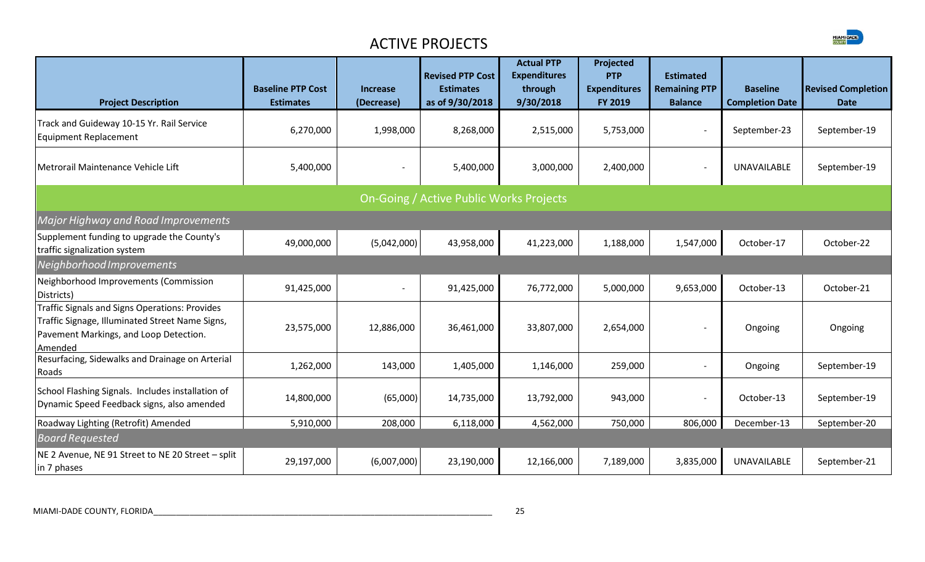

| <b>Project Description</b>                                                                                                                             | <b>Baseline PTP Cost</b><br><b>Estimates</b> | <b>Increase</b><br>(Decrease) | <b>Revised PTP Cost</b><br><b>Estimates</b><br>as of 9/30/2018 | <b>Actual PTP</b><br><b>Expenditures</b><br>through<br>9/30/2018 | Projected<br><b>PTP</b><br><b>Expenditures</b><br>FY 2019 | <b>Estimated</b><br><b>Remaining PTP</b><br><b>Balance</b> | <b>Baseline</b><br><b>Completion Date</b> | <b>Revised Completion</b><br><b>Date</b> |
|--------------------------------------------------------------------------------------------------------------------------------------------------------|----------------------------------------------|-------------------------------|----------------------------------------------------------------|------------------------------------------------------------------|-----------------------------------------------------------|------------------------------------------------------------|-------------------------------------------|------------------------------------------|
| Track and Guideway 10-15 Yr. Rail Service<br>Equipment Replacement                                                                                     | 6,270,000                                    | 1,998,000                     | 8,268,000                                                      | 2,515,000                                                        | 5,753,000                                                 | $\overline{\phantom{a}}$                                   | September-23                              | September-19                             |
| Metrorail Maintenance Vehicle Lift                                                                                                                     | 5,400,000                                    |                               | 5,400,000                                                      | 3,000,000                                                        | 2,400,000                                                 | $\overline{\phantom{a}}$                                   | <b>UNAVAILABLE</b>                        | September-19                             |
|                                                                                                                                                        |                                              |                               | On-Going / Active Public Works Projects                        |                                                                  |                                                           |                                                            |                                           |                                          |
| Major Highway and Road Improvements                                                                                                                    |                                              |                               |                                                                |                                                                  |                                                           |                                                            |                                           |                                          |
| Supplement funding to upgrade the County's<br>traffic signalization system                                                                             | 49,000,000                                   | (5,042,000)                   | 43,958,000                                                     | 41,223,000                                                       | 1,188,000                                                 | 1,547,000                                                  | October-17                                | October-22                               |
| Neighborhood Improvements                                                                                                                              |                                              |                               |                                                                |                                                                  |                                                           |                                                            |                                           |                                          |
| Neighborhood Improvements (Commission<br>Districts)                                                                                                    | 91,425,000                                   |                               | 91,425,000                                                     | 76,772,000                                                       | 5,000,000                                                 | 9,653,000                                                  | October-13                                | October-21                               |
| Traffic Signals and Signs Operations: Provides<br>Traffic Signage, Illuminated Street Name Signs,<br>Pavement Markings, and Loop Detection.<br>Amended | 23,575,000                                   | 12,886,000                    | 36,461,000                                                     | 33,807,000                                                       | 2,654,000                                                 |                                                            | Ongoing                                   | Ongoing                                  |
| Resurfacing, Sidewalks and Drainage on Arterial<br>Roads                                                                                               | 1,262,000                                    | 143,000                       | 1,405,000                                                      | 1,146,000                                                        | 259,000                                                   | $\sim$                                                     | Ongoing                                   | September-19                             |
| School Flashing Signals. Includes installation of<br>Dynamic Speed Feedback signs, also amended                                                        | 14,800,000                                   | (65,000)                      | 14,735,000                                                     | 13,792,000                                                       | 943,000                                                   | $\overline{\phantom{a}}$                                   | October-13                                | September-19                             |
| Roadway Lighting (Retrofit) Amended                                                                                                                    | 5,910,000                                    | 208,000                       | 6,118,000                                                      | 4,562,000                                                        | 750,000                                                   | 806,000                                                    | December-13                               | September-20                             |
| <b>Board Requested</b>                                                                                                                                 |                                              |                               |                                                                |                                                                  |                                                           |                                                            |                                           |                                          |
| NE 2 Avenue, NE 91 Street to NE 20 Street - split<br>in 7 phases                                                                                       | 29,197,000                                   | (6,007,000)                   | 23,190,000                                                     | 12,166,000                                                       | 7,189,000                                                 | 3,835,000                                                  | <b>UNAVAILABLE</b>                        | September-21                             |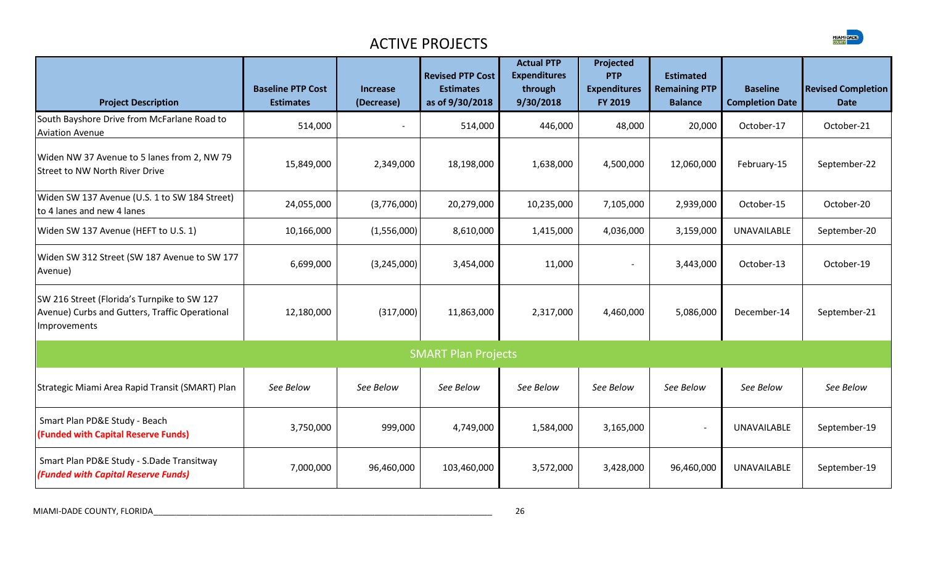| <b>Project Description</b>                                                                                    | <b>Baseline PTP Cost</b><br><b>Estimates</b> | <b>Increase</b><br>(Decrease) | <b>Revised PTP Cost</b><br><b>Estimates</b><br>as of 9/30/2018 | <b>Actual PTP</b><br><b>Expenditures</b><br>through<br>9/30/2018 | Projected<br><b>PTP</b><br><b>Expenditures</b><br>FY 2019 | <b>Estimated</b><br><b>Remaining PTP</b><br><b>Balance</b> | <b>Baseline</b><br><b>Completion Date</b> | <b>Revised Completion</b><br><b>Date</b> |
|---------------------------------------------------------------------------------------------------------------|----------------------------------------------|-------------------------------|----------------------------------------------------------------|------------------------------------------------------------------|-----------------------------------------------------------|------------------------------------------------------------|-------------------------------------------|------------------------------------------|
| South Bayshore Drive from McFarlane Road to<br><b>Aviation Avenue</b>                                         | 514,000                                      | $\overline{\phantom{a}}$      | 514,000                                                        | 446,000                                                          | 48,000                                                    | 20,000                                                     | October-17                                | October-21                               |
| Widen NW 37 Avenue to 5 lanes from 2, NW 79<br><b>Street to NW North River Drive</b>                          | 15,849,000                                   | 2,349,000                     | 18,198,000                                                     | 1,638,000                                                        | 4,500,000                                                 | 12,060,000                                                 | February-15                               | September-22                             |
| Widen SW 137 Avenue (U.S. 1 to SW 184 Street)<br>to 4 lanes and new 4 lanes                                   | 24,055,000                                   | (3,776,000)                   | 20,279,000                                                     | 10,235,000                                                       | 7,105,000                                                 | 2,939,000                                                  | October-15                                | October-20                               |
| Widen SW 137 Avenue (HEFT to U.S. 1)                                                                          | 10,166,000                                   | (1,556,000)                   | 8,610,000                                                      | 1,415,000                                                        | 4,036,000                                                 | 3,159,000                                                  | <b>UNAVAILABLE</b>                        | September-20                             |
| Widen SW 312 Street (SW 187 Avenue to SW 177<br>Avenue)                                                       | 6,699,000                                    | (3,245,000)                   | 3,454,000                                                      | 11,000                                                           | $\overline{\phantom{a}}$                                  | 3,443,000                                                  | October-13                                | October-19                               |
| SW 216 Street (Florida's Turnpike to SW 127<br>Avenue) Curbs and Gutters, Traffic Operational<br>Improvements | 12,180,000                                   | (317,000)                     | 11,863,000                                                     | 2,317,000                                                        | 4,460,000                                                 | 5,086,000                                                  | December-14                               | September-21                             |
|                                                                                                               |                                              |                               | <b>SMART Plan Projects</b>                                     |                                                                  |                                                           |                                                            |                                           |                                          |
| Strategic Miami Area Rapid Transit (SMART) Plan                                                               | See Below                                    | See Below                     | See Below                                                      | See Below                                                        | See Below                                                 | See Below                                                  | See Below                                 | See Below                                |
| Smart Plan PD&E Study - Beach<br>(Funded with Capital Reserve Funds)                                          | 3,750,000                                    | 999,000                       | 4,749,000                                                      | 1,584,000                                                        | 3,165,000                                                 |                                                            | <b>UNAVAILABLE</b>                        | September-19                             |
| Smart Plan PD&E Study - S.Dade Transitway<br>(Funded with Capital Reserve Funds)                              | 7,000,000                                    | 96,460,000                    | 103,460,000                                                    | 3,572,000                                                        | 3,428,000                                                 | 96,460,000                                                 | <b>UNAVAILABLE</b>                        | September-19                             |
|                                                                                                               |                                              |                               |                                                                |                                                                  |                                                           |                                                            |                                           |                                          |